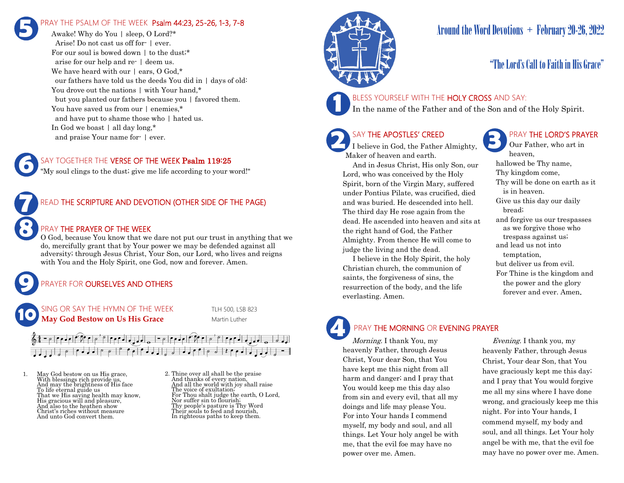### RAY THE PSALM OF THE WEEK Psalm 44:23, 25-26, 1-3, 7-8 **5**

Awake! Why do You | sleep, O Lord?\* Arise! Do not cast us off for- | ever. For our soul is bowed down  $\vert$  to the dust;\* arise for our help and re- | deem us. We have heard with our | ears, O God,\* our fathers have told us the deeds You did in | days of old: You drove out the nations  $|$  with Your hand,\* but you planted our fathers because you | favored them. You have saved us from our  $|$  enemies,\* and have put to shame those who | hated us. In God we boast | all day long,\* and praise Your name for- | ever.

### SAY TOGETHER THE VERSE OF THE WEEK Psalm 119:25

"My soul clings to the dust; give me life according to your word!"



**6**

**9**

### READ THE SCRIPTURE AND DEVOTION (OTHER SIDE OF THE PAGE)

### PRAY THE PRAYER OF THE WEEK

O God, because You know that we dare not put our trust in anything that we do, mercifully grant that by Your power we may be defended against all adversity; through Jesus Christ, Your Son, our Lord, who lives and reigns with You and the Holy Spirit, one God, now and forever. Amen.

### PRAYER FOR **OURSELVES AND OTHERS**

SING OR SAY THE HYMN OF THE WEEK TLH 500, LSB 823 **May God Bestow on Us His Grace** Martin Luther **10**

 $\lvert \rho \rvert$  defined

1. May God bestow on us His grace, With blessings rich provide us, And may the brightness of His face To life eternal guide us That we His saving health may know, His gracious will and pleasure, And also to the heathen show Christ's riches without measure And unto God convert them.

2. Thine over all shall be the praise And thanks of every nation, And all the world with joy shall raise The voice of exultation; For Thou shalt judge the earth, O Lord, Nor suffer sin to flourish; Thy people's pasture is Thy Word Their souls to feed and nourish, In righteous paths to keep them.



# Around the Word Devotions  $+$  February 20-26, 2022

### "The Lord's Call to Faith in His Grace"

### BLESS YOURSELF WITH THE HOLY CROSS AND SAY:

In the name of the Father and of the Son and of the Holy Spirit.

### SAY THE APOSTLES' CREED

**2 SAY THE APOSTLES' CREED I** believe in God, the Father Almighty, Maker of heaven and earth.

 And in Jesus Christ, His only Son, our Lord, who was conceived by the Holy Spirit, born of the Virgin Mary, suffered under Pontius Pilate, was crucified, died and was buried. He descended into hell. The third day He rose again from the dead. He ascended into heaven and sits at the right hand of God, the Father Almighty. From thence He will come to judge the living and the dead.

 I believe in the Holy Spirit, the holy Christian church, the communion of saints, the forgiveness of sins, the resurrection of the body, and the life everlasting. Amen.

### PRAY THE LORD'S PRAYER

Our Father, who art in heaven, hallowed be Thy name, Thy kingdom come, Thy will be done on earth as it is in heaven. Give us this day our daily bread; and forgive us our trespasses as we forgive those who trespass against us; and lead us not into temptation, but deliver us from evil. For Thine is the kingdom and the power and the glory forever and ever. Amen.

# **4**

### PRAY THE MORNING OR EVENING PRAYER

Morning. I thank You, my heavenly Father, through Jesus Christ, Your dear Son, that You have kept me this night from all harm and danger; and I pray that You would keep me this day also from sin and every evil, that all my doings and life may please You. For into Your hands I commend myself, my body and soul, and all things. Let Your holy angel be with me, that the evil foe may have no power over me. Amen.

 Evening. I thank you, my heavenly Father, through Jesus Christ, Your dear Son, that You have graciously kept me this day; and I pray that You would forgive me all my sins where I have done wrong, and graciously keep me this night. For into Your hands, I commend myself, my body and soul, and all things. Let Your holy angel be with me, that the evil foe may have no power over me. Amen.